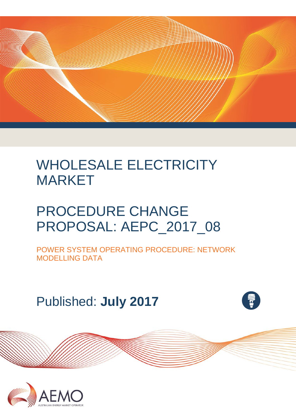

# WHOLESALE ELECTRICITY MARKET

# PROCEDURE CHANGE PROPOSAL: AEPC\_2017\_08

POWER SYSTEM OPERATING PROCEDURE: NETWORK MODELLING DATA

Published: **July 2017**



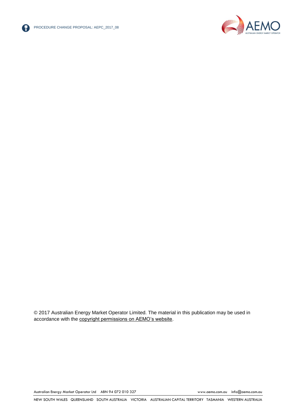



© 2017 Australian Energy Market Operator Limited. The material in this publication may be used in accordance with the [copyright permissions on AEMO's website.](http://aemo.com.au/Privacy_and_Legal_Notices/Copyright_Permissions_Notice)

Australian Energy Market Operator Ltd ABN 94 072 010 327 [www.aemo.com.au](http://www.aemo.com.au/) [info@aemo.com.au](mailto:info@aemo.com.au)

NEW SOUTH WALES QUEENSLAND SOUTH AUSTRALIA VICTORIA AUSTRALIAN CAPITAL TERRITORY TASMANIA WESTERN AUSTRALIA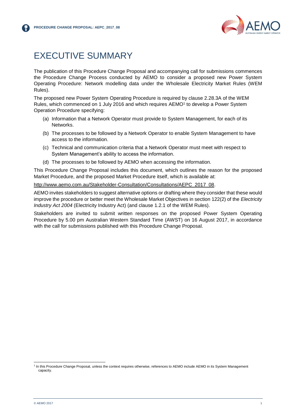

# <span id="page-2-0"></span>EXECUTIVE SUMMARY

The publication of this Procedure Change Proposal and accompanying call for submissions commences the Procedure Change Process conducted by AEMO to consider a proposed new Power System Operating Procedure: Network modelling data under the Wholesale Electricity Market Rules (WEM Rules).

The proposed new Power System Operating Procedure is required by clause 2.28.3A of the WEM Rules, which commenced on 1 July 2016 and which requires AEMO<sup>1</sup> to develop a Power System Operation Procedure specifying:

- (a) Information that a Network Operator must provide to System Management, for each of its Networks.
- (b) The processes to be followed by a Network Operator to enable System Management to have access to the information.
- (c) Technical and communication criteria that a Network Operator must meet with respect to System Management's ability to access the information.
- (d) The processes to be followed by AEMO when accessing the information.

This Procedure Change Proposal includes this document, which outlines the reason for the proposed Market Procedure, and the proposed Market Procedure itself, which is available at:

[http://www.aemo.com.au/Stakeholder-Consultation/Consultations/AEPC\\_2017\\_08.](http://www.aemo.com.au/Stakeholder-Consultation/Consultations/AEPC_2017_08)

AEMO invites stakeholders to suggest alternative options or drafting where they consider that these would improve the procedure or better meet the Wholesale Market Objectives in section 122(2) of the *Electricity Industry Act 2004* (Electricity Industry Act) (and clause 1.2.1 of the WEM Rules).

Stakeholders are invited to submit written responses on the proposed Power System Operating Procedure by 5.00 pm Australian Western Standard Time (AWST) on 16 August 2017, in accordance with the call for submissions published with this Procedure Change Proposal.

l

<sup>&</sup>lt;sup>1</sup> In this Procedure Change Proposal, unless the context requires otherwise, references to AEMO include AEMO in its System Management capacity.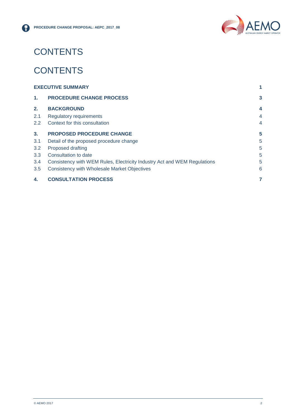

# **CONTENTS**

# **CONTENTS**

| <b>EXECUTIVE SUMMARY</b> |                                                                          |                |
|--------------------------|--------------------------------------------------------------------------|----------------|
| $\mathbf{1}$ .           | <b>PROCEDURE CHANGE PROCESS</b>                                          | 3              |
| 2.                       | <b>BACKGROUND</b>                                                        | 4              |
| 2.1                      | <b>Regulatory requirements</b>                                           | $\overline{4}$ |
| 2.2                      | Context for this consultation                                            | $\overline{4}$ |
| 3.                       | <b>PROPOSED PROCEDURE CHANGE</b>                                         | 5              |
| 3.1                      | Detail of the proposed procedure change                                  | 5              |
| 3.2                      | Proposed drafting                                                        | 5              |
| 3.3                      | Consultation to date                                                     | 5              |
| 3.4                      | Consistency with WEM Rules, Electricity Industry Act and WEM Regulations | 5              |
| 3.5                      | Consistency with Wholesale Market Objectives                             | 6              |
| 4.                       | <b>CONSULTATION PROCESS</b>                                              |                |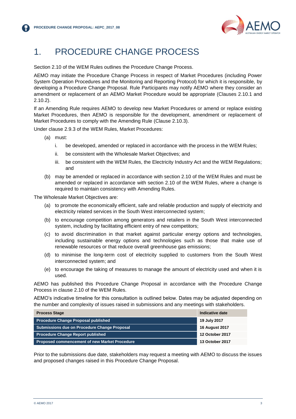

## <span id="page-4-0"></span>1. PROCEDURE CHANGE PROCESS

Section 2.10 of the WEM Rules outlines the Procedure Change Process.

AEMO may initiate the Procedure Change Process in respect of Market Procedures (including Power System Operation Procedures and the Monitoring and Reporting Protocol) for which it is responsible, by developing a Procedure Change Proposal. Rule Participants may notify AEMO where they consider an amendment or replacement of an AEMO Market Procedure would be appropriate (Clauses 2.10.1 and 2.10.2).

If an Amending Rule requires AEMO to develop new Market Procedures or amend or replace existing Market Procedures, then AEMO is responsible for the development, amendment or replacement of Market Procedures to comply with the Amending Rule (Clause 2.10.3).

Under clause 2.9.3 of the WEM Rules, Market Procedures:

- (a) must:
	- i. be developed, amended or replaced in accordance with the process in the WEM Rules;
	- ii. be consistent with the Wholesale Market Objectives; and
	- iii. be consistent with the WEM Rules, the Electricity Industry Act and the WEM Regulations; and
- (b) may be amended or replaced in accordance with section 2.10 of the WEM Rules and must be amended or replaced in accordance with section 2.10 of the WEM Rules, where a change is required to maintain consistency with Amending Rules.

The Wholesale Market Objectives are:

- (a) to promote the economically efficient, safe and reliable production and supply of electricity and electricity related services in the South West interconnected system;
- (b) to encourage competition among generators and retailers in the South West interconnected system, including by facilitating efficient entry of new competitors;
- (c) to avoid discrimination in that market against particular energy options and technologies, including sustainable energy options and technologies such as those that make use of renewable resources or that reduce overall greenhouse gas emissions;
- (d) to minimise the long-term cost of electricity supplied to customers from the South West interconnected system; and
- (e) to encourage the taking of measures to manage the amount of electricity used and when it is used.

AEMO has published this Procedure Change Proposal in accordance with the Procedure Change Process in clause 2.10 of the WEM Rules.

AEMO's indicative timeline for this consultation is outlined below. Dates may be adjusted depending on the number and complexity of issues raised in submissions and any meetings with stakeholders.

| <b>Process Stage</b>                                 | Indicative date        |
|------------------------------------------------------|------------------------|
| <b>Procedure Change Proposal published</b>           | 19 July 2017           |
| Submissions due on Procedure Change Proposal         | <b>16 August 2017</b>  |
| <b>Procedure Change Report published</b>             | <b>12 October 2017</b> |
| <b>Proposed commencement of new Market Procedure</b> | 13 October 2017        |

Prior to the submissions due date, stakeholders may request a meeting with AEMO to discuss the issues and proposed changes raised in this Procedure Change Proposal.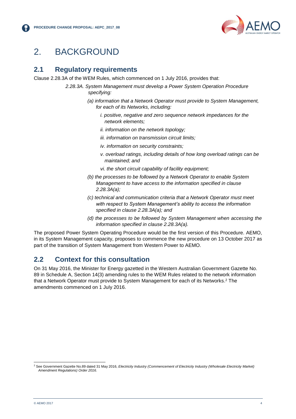

## <span id="page-5-0"></span>2. BACKGROUND

#### <span id="page-5-1"></span>**2.1 Regulatory requirements**

Clause 2.28.3A of the WEM Rules, which commenced on 1 July 2016, provides that:

- *2.28.3A. System Management must develop a Power System Operation Procedure specifying:*
	- *(a) information that a Network Operator must provide to System Management, for each of its Networks, including:*
		- *i. positive, negative and zero sequence network impedances for the network elements;*
		- *ii. information on the network topology;*
		- *iii. information on transmission circuit limits;*
		- *iv. information on security constraints;*
		- *v. overload ratings, including details of how long overload ratings can be maintained; and*
		- *vi. the short circuit capability of facility equipment;*
	- *(b) the processes to be followed by a Network Operator to enable System Management to have access to the information specified in clause 2.28.3A(a);*
	- *(c) technical and communication criteria that a Network Operator must meet with respect to System Management's ability to access the information specified in clause 2.28.3A(a); and*
	- *(d) the processes to be followed by System Management when accessing the information specified in clause 2.28.3A(a).*

The proposed Power System Operating Procedure would be the first version of this Procedure. AEMO, in its System Management capacity, proposes to commence the new procedure on 13 October 2017 as part of the transition of System Management from Western Power to AEMO.

#### <span id="page-5-2"></span>**2.2 Context for this consultation**

On 31 May 2016, the Minister for Energy gazetted in the Western Australian Government Gazette No. 89 in Schedule A, Section 14(3) amending rules to the WEM Rules related to the network information that a Network Operator must provide to System Management for each of its Networks. <sup>2</sup> The amendments commenced on 1 July 2016.

l <sup>2</sup> See Government Gazette No.89 dated 31 May 2016, *Electricity Industry (Commencement of Electricity Industry (Wholesale Electricity Market) Amendment Regulations) Order 2016*.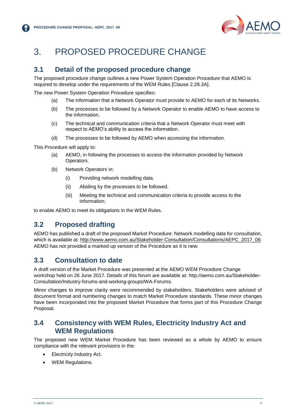

# <span id="page-6-0"></span>3. PROPOSED PROCEDURE CHANGE

#### <span id="page-6-1"></span>**3.1 Detail of the proposed procedure change**

The proposed procedure change outlines a new Power System Operation Procedure that AEMO is required to develop under the requirements of the WEM Rules [Clause 2.28.3A].

The new Power System Operation Procedure specifies:

- (a) The information that a Network Operator must provide to AEMO for each of its Networks.
- (b) The processes to be followed by a Network Operator to enable AEMO to have access to the information.
- (c) The technical and communication criteria that a Network Operator must meet with respect to AEMO's ability to access the information.
- (d) The processes to be followed by AEMO when accessing the information.

This Procedure will apply to:

- (a) AEMO, in following the processes to access the information provided by Network Operators.
- (b) Network Operators in:
	- (i) Providing network modelling data.
	- (ii) Abiding by the processes to be followed.
	- (iii) Meeting the technical and communication criteria to provide access to the information;

to enable AEMO to meet its obligations in the WEM Rules.

### <span id="page-6-2"></span>**3.2 Proposed drafting**

AEMO has published a draft of the proposed Market Procedure: Network modelling data for consultation, which is available at: [http://www.aemo.com.au/Stakeholder-Consultation/Consultations/AEPC\\_2017\\_08.](http://www.aemo.com.au/Stakeholder-Consultation/Consultations/AEPC_2017_08) AEMO has not provided a marked-up version of the Procedure as it is new.

#### <span id="page-6-3"></span>**3.3 Consultation to date**

A draft version of the Market Procedure was presented at the AEMO WEM Procedure Change workshop held on 26 June 2017. Details of this forum are available at: http://aemo.com.au/Stakeholder-Consultation/Industry-forums-and-working-groups/WA-Forums.

Minor changes to improve clarity were recommended by stakeholders. Stakeholders were advised of document format and numbering changes to match Market Procedure standards. These minor changes have been incorporated into the proposed Market Procedure that forms part of this Procedure Change Proposal.

#### <span id="page-6-4"></span>**3.4 Consistency with WEM Rules, Electricity Industry Act and WEM Regulations**

The proposed new WEM Market Procedure has been reviewed as a whole by AEMO to ensure compliance with the relevant provisions in the:

- Electricity Industry Act.
- WEM Regulations.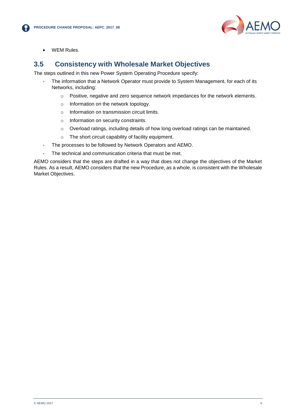

WEM Rules.

#### <span id="page-7-0"></span>**3.5 Consistency with Wholesale Market Objectives**

The steps outlined in this new Power System Operating Procedure specify:

- The information that a Network Operator must provide to System Management, for each of its Networks, including:
	- o Positive, negative and zero sequence network impedances for the network elements.
	- o Information on the network topology.
	- o Information on transmission circuit limits.
	- o Information on security constraints.
	- o Overload ratings, including details of how long overload ratings can be maintained.
	- o The short circuit capability of facility equipment.
- The processes to be followed by Network Operators and AEMO.
- The technical and communication criteria that must be met.

AEMO considers that the steps are drafted in a way that does not change the objectives of the Market Rules. As a result, AEMO considers that the new Procedure, as a whole, is consistent with the Wholesale Market Objectives.